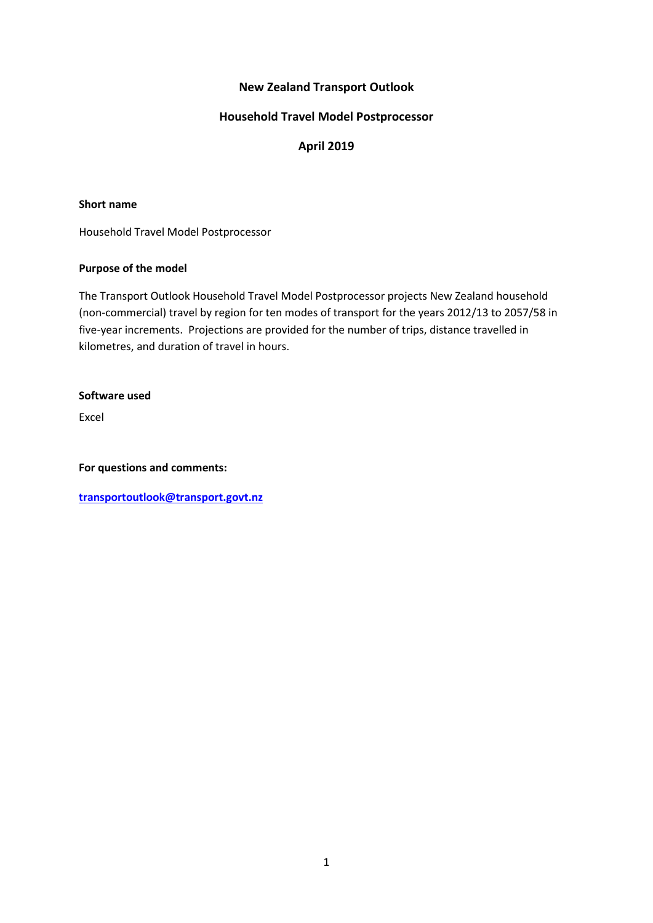# **New Zealand Transport Outlook**

### **Household Travel Model Postprocessor**

# **April 2019**

#### **Short name**

Household Travel Model Postprocessor

#### **Purpose of the model**

The Transport Outlook Household Travel Model Postprocessor projects New Zealand household (non-commercial) travel by region for ten modes of transport for the years 2012/13 to 2057/58 in five-year increments. Projections are provided for the number of trips, distance travelled in kilometres, and duration of travel in hours.

#### **Software used**

Excel

**For questions and comments:** 

**[transportoutlook@transport.govt.nz](mailto:transportoutlook@transport.govt.nz)**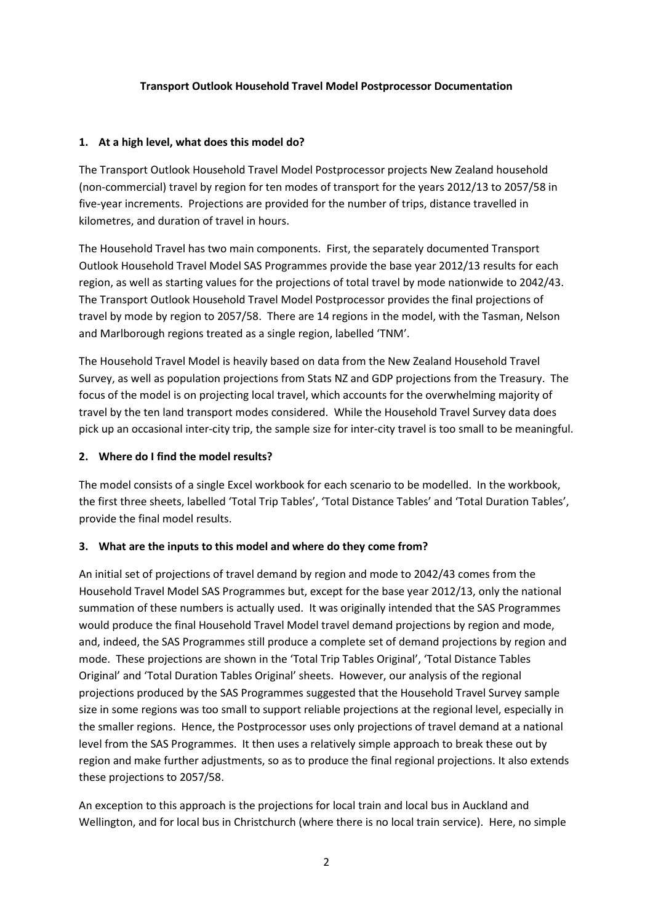### **Transport Outlook Household Travel Model Postprocessor Documentation**

## **1. At a high level, what does this model do?**

The Transport Outlook Household Travel Model Postprocessor projects New Zealand household (non-commercial) travel by region for ten modes of transport for the years 2012/13 to 2057/58 in five-year increments. Projections are provided for the number of trips, distance travelled in kilometres, and duration of travel in hours.

The Household Travel has two main components. First, the separately documented Transport Outlook Household Travel Model SAS Programmes provide the base year 2012/13 results for each region, as well as starting values for the projections of total travel by mode nationwide to 2042/43. The Transport Outlook Household Travel Model Postprocessor provides the final projections of travel by mode by region to 2057/58. There are 14 regions in the model, with the Tasman, Nelson and Marlborough regions treated as a single region, labelled 'TNM'.

The Household Travel Model is heavily based on data from the New Zealand Household Travel Survey, as well as population projections from Stats NZ and GDP projections from the Treasury. The focus of the model is on projecting local travel, which accounts for the overwhelming majority of travel by the ten land transport modes considered. While the Household Travel Survey data does pick up an occasional inter-city trip, the sample size for inter-city travel is too small to be meaningful.

### **2. Where do I find the model results?**

The model consists of a single Excel workbook for each scenario to be modelled. In the workbook, the first three sheets, labelled 'Total Trip Tables', 'Total Distance Tables' and 'Total Duration Tables', provide the final model results.

## **3. What are the inputs to this model and where do they come from?**

An initial set of projections of travel demand by region and mode to 2042/43 comes from the Household Travel Model SAS Programmes but, except for the base year 2012/13, only the national summation of these numbers is actually used. It was originally intended that the SAS Programmes would produce the final Household Travel Model travel demand projections by region and mode, and, indeed, the SAS Programmes still produce a complete set of demand projections by region and mode. These projections are shown in the 'Total Trip Tables Original', 'Total Distance Tables Original' and 'Total Duration Tables Original' sheets. However, our analysis of the regional projections produced by the SAS Programmes suggested that the Household Travel Survey sample size in some regions was too small to support reliable projections at the regional level, especially in the smaller regions. Hence, the Postprocessor uses only projections of travel demand at a national level from the SAS Programmes. It then uses a relatively simple approach to break these out by region and make further adjustments, so as to produce the final regional projections. It also extends these projections to 2057/58.

An exception to this approach is the projections for local train and local bus in Auckland and Wellington, and for local bus in Christchurch (where there is no local train service). Here, no simple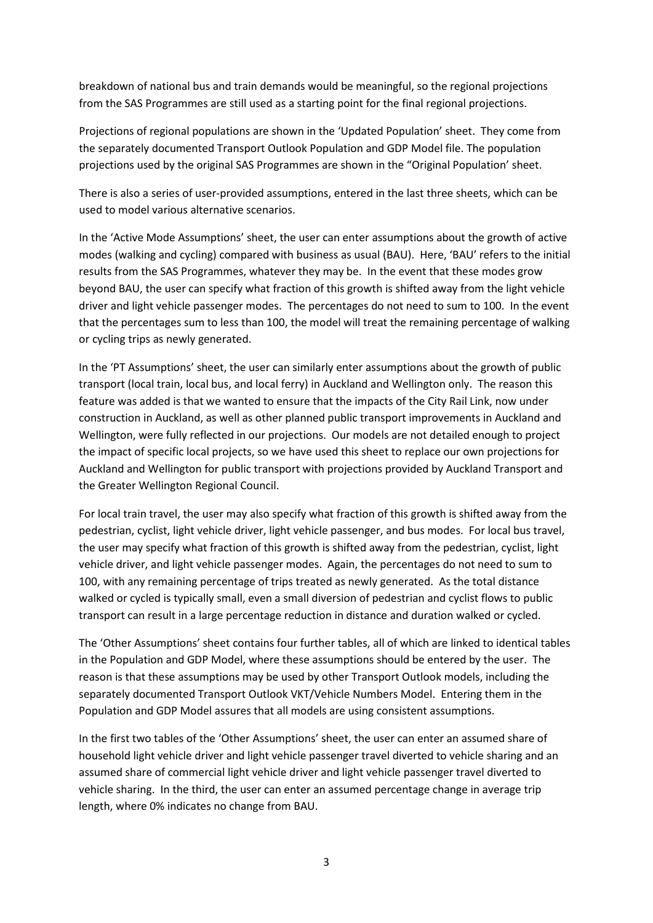breakdown of national bus and train demands would be meaningful, so the regional projections from the SAS Programmes are still used as a starting point for the final regional projections.

Projections of regional populations are shown in the 'Updated Population' sheet. They come from the separately documented Transport Outlook Population and GDP Model file. The population projections used by the original SAS Programmes are shown in the "Original Population' sheet.

There is also a series of user-provided assumptions, entered in the last three sheets, which can be used to model various alternative scenarios.

In the 'Active Mode Assumptions' sheet, the user can enter assumptions about the growth of active modes (walking and cycling) compared with business as usual (BAU). Here, 'BAU' refers to the initial results from the SAS Programmes, whatever they may be. In the event that these modes grow beyond BAU, the user can specify what fraction of this growth is shifted away from the light vehicle driver and light vehicle passenger modes. The percentages do not need to sum to 100. In the event that the percentages sum to less than 100, the model will treat the remaining percentage of walking or cycling trips as newly generated.

In the 'PT Assumptions' sheet, the user can similarly enter assumptions about the growth of public transport (local train, local bus, and local ferry) in Auckland and Wellington only. The reason this feature was added is that we wanted to ensure that the impacts of the City Rail Link, now under construction in Auckland, as well as other planned public transport improvements in Auckland and Wellington, were fully reflected in our projections. Our models are not detailed enough to project the impact of specific local projects, so we have used this sheet to replace our own projections for Auckland and Wellington for public transport with projections provided by Auckland Transport and the Greater Wellington Regional Council.

For local train travel, the user may also specify what fraction of this growth is shifted away from the pedestrian, cyclist, light vehicle driver, light vehicle passenger, and bus modes. For local bus travel, the user may specify what fraction of this growth is shifted away from the pedestrian, cyclist, light vehicle driver, and light vehicle passenger modes. Again, the percentages do not need to sum to 100, with any remaining percentage of trips treated as newly generated. As the total distance walked or cycled is typically small, even a small diversion of pedestrian and cyclist flows to public transport can result in a large percentage reduction in distance and duration walked or cycled.

The 'Other Assumptions' sheet contains four further tables, all of which are linked to identical tables in the Population and GDP Model, where these assumptions should be entered by the user. The reason is that these assumptions may be used by other Transport Outlook models, including the separately documented Transport Outlook VKT/Vehicle Numbers Model. Entering them in the Population and GDP Model assures that all models are using consistent assumptions.

In the first two tables of the 'Other Assumptions' sheet, the user can enter an assumed share of household light vehicle driver and light vehicle passenger travel diverted to vehicle sharing and an assumed share of commercial light vehicle driver and light vehicle passenger travel diverted to vehicle sharing. In the third, the user can enter an assumed percentage change in average trip length, where 0% indicates no change from BAU.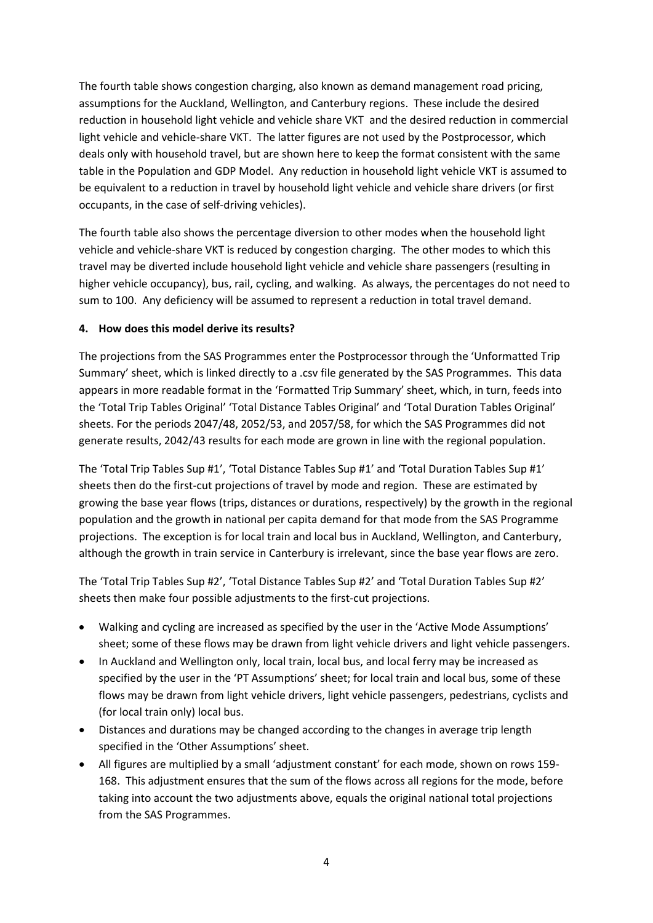The fourth table shows congestion charging, also known as demand management road pricing, assumptions for the Auckland, Wellington, and Canterbury regions. These include the desired reduction in household light vehicle and vehicle share VKT and the desired reduction in commercial light vehicle and vehicle-share VKT. The latter figures are not used by the Postprocessor, which deals only with household travel, but are shown here to keep the format consistent with the same table in the Population and GDP Model. Any reduction in household light vehicle VKT is assumed to be equivalent to a reduction in travel by household light vehicle and vehicle share drivers (or first occupants, in the case of self-driving vehicles).

The fourth table also shows the percentage diversion to other modes when the household light vehicle and vehicle-share VKT is reduced by congestion charging. The other modes to which this travel may be diverted include household light vehicle and vehicle share passengers (resulting in higher vehicle occupancy), bus, rail, cycling, and walking. As always, the percentages do not need to sum to 100. Any deficiency will be assumed to represent a reduction in total travel demand.

### **4. How does this model derive its results?**

The projections from the SAS Programmes enter the Postprocessor through the 'Unformatted Trip Summary' sheet, which is linked directly to a .csv file generated by the SAS Programmes. This data appears in more readable format in the 'Formatted Trip Summary' sheet, which, in turn, feeds into the 'Total Trip Tables Original' 'Total Distance Tables Original' and 'Total Duration Tables Original' sheets. For the periods 2047/48, 2052/53, and 2057/58, for which the SAS Programmes did not generate results, 2042/43 results for each mode are grown in line with the regional population.

The 'Total Trip Tables Sup #1', 'Total Distance Tables Sup #1' and 'Total Duration Tables Sup #1' sheets then do the first-cut projections of travel by mode and region. These are estimated by growing the base year flows (trips, distances or durations, respectively) by the growth in the regional population and the growth in national per capita demand for that mode from the SAS Programme projections. The exception is for local train and local bus in Auckland, Wellington, and Canterbury, although the growth in train service in Canterbury is irrelevant, since the base year flows are zero.

The 'Total Trip Tables Sup #2', 'Total Distance Tables Sup #2' and 'Total Duration Tables Sup #2' sheets then make four possible adjustments to the first-cut projections.

- Walking and cycling are increased as specified by the user in the 'Active Mode Assumptions' sheet; some of these flows may be drawn from light vehicle drivers and light vehicle passengers.
- In Auckland and Wellington only, local train, local bus, and local ferry may be increased as specified by the user in the 'PT Assumptions' sheet; for local train and local bus, some of these flows may be drawn from light vehicle drivers, light vehicle passengers, pedestrians, cyclists and (for local train only) local bus.
- Distances and durations may be changed according to the changes in average trip length specified in the 'Other Assumptions' sheet.
- All figures are multiplied by a small 'adjustment constant' for each mode, shown on rows 159- 168. This adjustment ensures that the sum of the flows across all regions for the mode, before taking into account the two adjustments above, equals the original national total projections from the SAS Programmes.